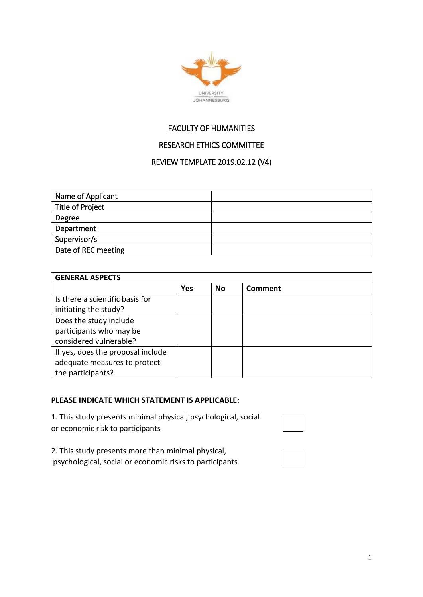

## FACULTY OF HUMANITIES

# RESEARCH ETHICS COMMITTEE

### REVIEW TEMPLATE 2019.02.12 (V4)

| Name of Applicant       |  |
|-------------------------|--|
| <b>Title of Project</b> |  |
| Degree                  |  |
| Department              |  |
| Supervisor/s            |  |
| Date of REC meeting     |  |

| <b>GENERAL ASPECTS</b>            |            |    |                |
|-----------------------------------|------------|----|----------------|
|                                   | <b>Yes</b> | No | <b>Comment</b> |
| Is there a scientific basis for   |            |    |                |
| initiating the study?             |            |    |                |
| Does the study include            |            |    |                |
| participants who may be           |            |    |                |
| considered vulnerable?            |            |    |                |
| If yes, does the proposal include |            |    |                |
| adequate measures to protect      |            |    |                |
| the participants?                 |            |    |                |

#### **PLEASE INDICATE WHICH STATEMENT IS APPLICABLE:**

1. This study presents minimal physical, psychological, social or economic risk to participants

2. This study presents more than minimal physical, psychological, social or economic risks to participants

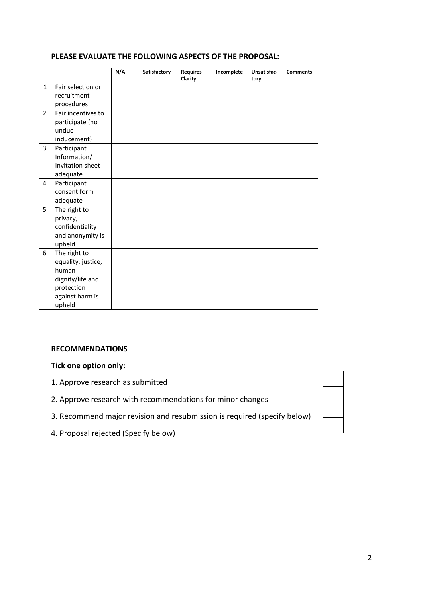### **PLEASE EVALUATE THE FOLLOWING ASPECTS OF THE PROPOSAL:**

|                |                    | N/A | Satisfactory | <b>Requires</b><br>Clarity | Incomplete | Unsatisfac-<br>tory | <b>Comments</b> |
|----------------|--------------------|-----|--------------|----------------------------|------------|---------------------|-----------------|
| $\mathbf{1}$   | Fair selection or  |     |              |                            |            |                     |                 |
|                | recruitment        |     |              |                            |            |                     |                 |
|                | procedures         |     |              |                            |            |                     |                 |
| $\overline{2}$ | Fair incentives to |     |              |                            |            |                     |                 |
|                | participate (no    |     |              |                            |            |                     |                 |
|                | undue              |     |              |                            |            |                     |                 |
|                | inducement)        |     |              |                            |            |                     |                 |
| 3              | Participant        |     |              |                            |            |                     |                 |
|                | Information/       |     |              |                            |            |                     |                 |
|                | Invitation sheet   |     |              |                            |            |                     |                 |
|                | adequate           |     |              |                            |            |                     |                 |
| 4              | Participant        |     |              |                            |            |                     |                 |
|                | consent form       |     |              |                            |            |                     |                 |
|                | adequate           |     |              |                            |            |                     |                 |
| 5              | The right to       |     |              |                            |            |                     |                 |
|                | privacy,           |     |              |                            |            |                     |                 |
|                | confidentiality    |     |              |                            |            |                     |                 |
|                | and anonymity is   |     |              |                            |            |                     |                 |
|                | upheld             |     |              |                            |            |                     |                 |
| 6              | The right to       |     |              |                            |            |                     |                 |
|                | equality, justice, |     |              |                            |            |                     |                 |
|                | human              |     |              |                            |            |                     |                 |
|                | dignity/life and   |     |              |                            |            |                     |                 |
|                | protection         |     |              |                            |            |                     |                 |
|                | against harm is    |     |              |                            |            |                     |                 |
|                | upheld             |     |              |                            |            |                     |                 |

#### **RECOMMENDATIONS**

### **Tick one option only:**

- 1. Approve research as submitted
- 2. Approve research with recommendations for minor changes
- 3. Recommend major revision and resubmission is required (specify below)
- 4. Proposal rejected (Specify below)